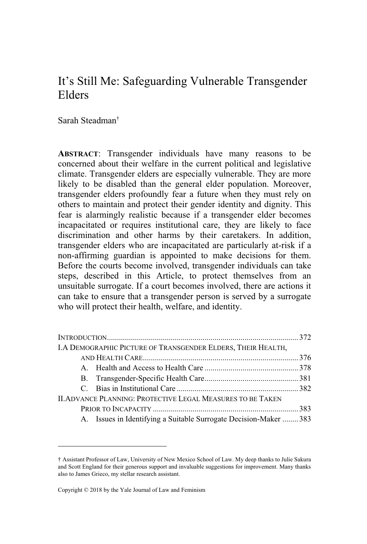# It's Still Me: Safeguarding Vulnerable Transgender Elders

Sarah Steadman<sup>†</sup>

**ABSTRACT**: Transgender individuals have many reasons to be concerned about their welfare in the current political and legislative climate. Transgender elders are especially vulnerable. They are more likely to be disabled than the general elder population. Moreover, transgender elders profoundly fear a future when they must rely on others to maintain and protect their gender identity and dignity. This fear is alarmingly realistic because if a transgender elder becomes incapacitated or requires institutional care, they are likely to face discrimination and other harms by their caretakers. In addition, transgender elders who are incapacitated are particularly at-risk if a non-affirming guardian is appointed to make decisions for them. Before the courts become involved, transgender individuals can take steps, described in this Article, to protect themselves from an unsuitable surrogate. If a court becomes involved, there are actions it can take to ensure that a transgender person is served by a surrogate who will protect their health, welfare, and identity.

| I.A DEMOGRAPHIC PICTURE OF TRANSGENDER ELDERS, THEIR HEALTH,      |  |
|-------------------------------------------------------------------|--|
|                                                                   |  |
|                                                                   |  |
|                                                                   |  |
|                                                                   |  |
| II. ADVANCE PLANNING: PROTECTIVE LEGAL MEASURES TO BE TAKEN       |  |
|                                                                   |  |
| A. Issues in Identifying a Suitable Surrogate Decision-Maker  383 |  |

<sup>(</sup> Assistant Professor of Law, University of New Mexico School of Law. My deep thanks to Julie Sakura and Scott England for their generous support and invaluable suggestions for improvement. Many thanks also to James Grieco, my stellar research assistant.

Copyright © 2018 by the Yale Journal of Law and Feminism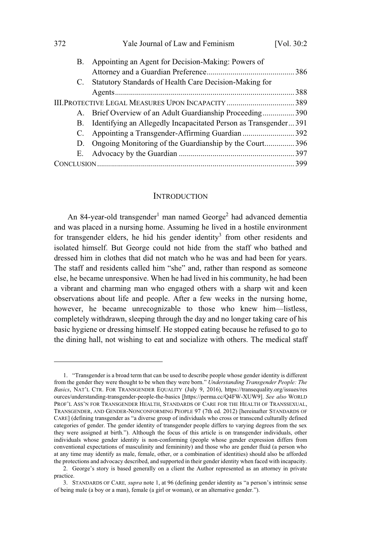| 372                                                 | Yale Journal of Law and Feminism                                   | [Vol. $30:2$ |
|-----------------------------------------------------|--------------------------------------------------------------------|--------------|
| B.                                                  | Appointing an Agent for Decision-Making: Powers of                 |              |
|                                                     |                                                                    |              |
| C.                                                  | Statutory Standards of Health Care Decision-Making for             |              |
|                                                     |                                                                    |              |
| III. PROTECTIVE LEGAL MEASURES UPON INCAPACITY  389 |                                                                    |              |
|                                                     | A. Brief Overview of an Adult Guardianship Proceeding 390          |              |
|                                                     | B. Identifying an Allegedly Incapacitated Person as Transgender391 |              |
| C.                                                  |                                                                    |              |
| D.                                                  | Ongoing Monitoring of the Guardianship by the Court396             |              |
|                                                     |                                                                    |              |
|                                                     |                                                                    |              |

#### **INTRODUCTION**

An 84-year-old transgender<sup>1</sup> man named George<sup>2</sup> had advanced dementia and was placed in a nursing home. Assuming he lived in a hostile environment for transgender elders, he hid his gender identity<sup>3</sup> from other residents and isolated himself. But George could not hide from the staff who bathed and dressed him in clothes that did not match who he was and had been for years. The staff and residents called him "she" and, rather than respond as someone else, he became unresponsive. When he had lived in his community, he had been a vibrant and charming man who engaged others with a sharp wit and keen observations about life and people. After a few weeks in the nursing home, however, he became unrecognizable to those who knew him—listless, completely withdrawn, sleeping through the day and no longer taking care of his basic hygiene or dressing himself. He stopped eating because he refused to go to the dining hall, not wishing to eat and socialize with others. The medical staff

<sup>1. &</sup>quot;Transgender is a broad term that can be used to describe people whose gender identity is different from the gender they were thought to be when they were born." Understanding Transgender People: The Basics, NAT'L CTR. FOR TRANSGENDER EQUALITY (July 9, 2016), https://transequality.org/issues/res ources/understanding-transgender-people-the-basics [https://perma.cc/Q4FW-XUW9]. See also WORLD PROF'L ASS'N FOR TRANSGENDER HEALTH, STANDARDS OF CARE FOR THE HEALTH OF TRANSSEXUAL, TRANSGENDER, AND GENDER-NONCONFORMING PEOPLE 97 (7th ed. 2012) [hereinafter STANDARDS OF CARE] (defining transgender as "a diverse group of individuals who cross or transcend culturally defined categories of gender. The gender identity of transgender people differs to varying degrees from the sex they were assigned at birth."). Although the focus of this article is on transgender individuals, other individuals whose gender identity is non-conforming (people whose gender expression differs from conventional expectations of masculinity and femininity) and those who are gender fluid (a person who at any time may identify as male, female, other, or a combination of identities) should also be afforded the protections and advocacy described, and supported in their gender identity when faced with incapacity.

<sup>2.</sup> George's story is based generally on a client the Author represented as an attorney in private practice.

<sup>3.</sup> STANDARDS OF CARE, supra note 1, at 96 (defining gender identity as "a person's intrinsic sense of being male (a boy or a man), female (a girl or woman), or an alternative gender.").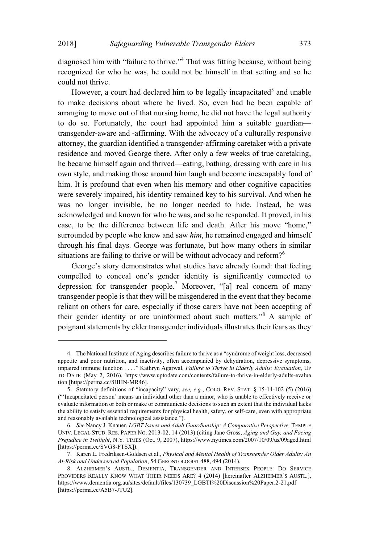diagnosed him with "failure to thrive."<sup>4</sup> That was fitting because, without being recognized for who he was, he could not be himself in that setting and so he could not thrive.

However, a court had declared him to be legally incapacitated<sup>5</sup> and unable to make decisions about where he lived. So, even had he been capable of arranging to move out of that nursing home, he did not have the legal authority to do so. Fortunately, the court had appointed him a suitable guardiantransgender-aware and -affirming. With the advocacy of a culturally responsive attorney, the guardian identified a transgender-affirming caretaker with a private residence and moved George there. After only a few weeks of true caretaking, he became himself again and thrived—eating, bathing, dressing with care in his own style, and making those around him laugh and become inescapably fond of him. It is profound that even when his memory and other cognitive capacities were severely impaired, his identity remained key to his survival. And when he was no longer invisible, he no longer needed to hide. Instead, he was acknowledged and known for who he was, and so he responded. It proved, in his case, to be the difference between life and death. After his move "home," surrounded by people who knew and saw *him*, he remained engaged and himself through his final days. George was fortunate, but how many others in similar situations are failing to thrive or will be without advocacy and reform?<sup>6</sup>

George's story demonstrates what studies have already found: that feeling compelled to conceal one's gender identity is significantly connected to depression for transgender people.<sup>7</sup> Moreover, "[a] real concern of many transgender people is that they will be misgendered in the event that they become reliant on others for care, especially if those carers have not been accepting of their gender identity or are uninformed about such matters."<sup>8</sup> A sample of poignant statements by elder transgender individuals illustrates their fears as they

<sup>4.</sup> The National Institute of Aging describes failure to thrive as a "syndrome of weight loss, decreased appetite and poor nutrition, and inactivity, often accompanied by dehydration, depressive symptoms, impaired immune function . . . . " Kathryn Agarwal, *Failure to Thrive in Elderly Adults: Evaluation*, UP TO DATE (May 2, 2016), https://www.uptodate.com/contents/failure-to-thrive-in-elderly-adults-evalua tion [https://perma.cc/8HHN-MR46].

<sup>5.</sup> Statutory definitions of "incapacity" vary, see, e.g., COLO. REV. STAT. § 15-14-102 (5) (2016) (D2Incapacitated person' means an individual other than a minor, who is unable to effectively receive or evaluate information or both or make or communicate decisions to such an extent that the individual lacks the ability to satisfy essential requirements for physical health, safety, or self-care, even with appropriate and reasonably available technological assistance.").

<sup>6</sup>*. See* Nancy J. Knauer, *LGBT Issues and Adult Guardianship: A Comparative Perspective,* TEMPLE UNIV. LEGAL STUD. RES. PAPER NO. 2013-02, 14 (2013) (citing Jane Gross, *Aging and Gay, and Facing Prejudice in Twilight*, N.Y. TIMES (Oct. 9, 2007), https://www.nytimes.com/2007/10/09/us/09aged.html [https://perma.cc/SVG8-FTSX]).

<sup>7.</sup> Karen L. Fredriksen-Goldsen et al., *Physical and Mental Health of Transgender Older Adults: An At-Risk and Underserved Population*, 54 GERONTOLOGIST 488, 494 (2014).

<sup>8.</sup> ALZHEIMER'S AUSTL., DEMENTIA, TRANSGENDER AND INTERSEX PEOPLE: DO SERVICE PROVIDERS REALLY KNOW WHAT THEIR NEEDS ARE? 4 (2014) [hereinafter ALZHEIMER'S AUSTL.], https://www.dementia.org.au/sites/default/files/130739\_LGBTI%20Discussion%20Paper.2-21.pdf [https://perma.cc/A5B7-JTU2].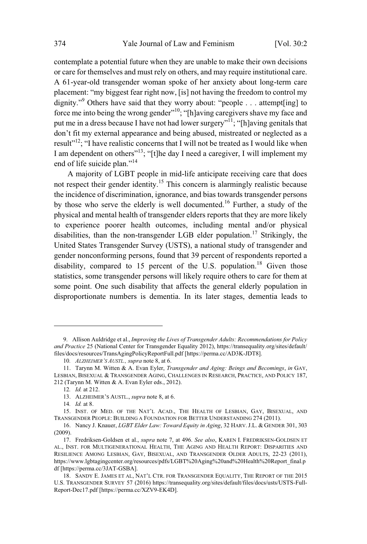contemplate a potential future when they are unable to make their own decisions or care for themselves and must rely on others, and may require institutional care. A 61-year-old transgender woman spoke of her anxiety about long-term care placement: "my biggest fear right now, [is] not having the freedom to control my dignity."<sup>9</sup> Others have said that they worry about: "people . . . attempt[ing] to force me into being the wrong gender"<sup>10</sup>; "[h]aving caregivers shave my face and put me in a dress because I have not had lower surgery"<sup>11</sup>; "[h]aving genitals that don't fit my external appearance and being abused, mistreated or neglected as a result"<sup>12</sup>; "I have realistic concerns that I will not be treated as I would like when I am dependent on others"<sup>13</sup>; "[t]he day I need a caregiver, I will implement my end of life suicide plan."<sup>14</sup>

A majority of LGBT people in mid-life anticipate receiving care that does not respect their gender identity.<sup>15</sup> This concern is alarmingly realistic because the incidence of discrimination, ignorance, and bias towards transgender persons by those who serve the elderly is well documented.<sup>16</sup> Further, a study of the physical and mental health of transgender elders reports that they are more likely to experience poorer health outcomes, including mental and/or physical disabilities, than the non-transgender LGB elder population.<sup>17</sup> Strikingly, the United States Transgender Survey (USTS), a national study of transgender and gender nonconforming persons, found that 39 percent of respondents reported a disability, compared to 15 percent of the U.S. population.<sup>18</sup> Given those statistics, some transgender persons will likely require others to care for them at some point. One such disability that affects the general elderly population in disproportionate numbers is dementia. In its later stages, dementia leads to

<sup>9.</sup> Allison Auldridge et al., *Improving the Lives of Transgender Adults: Recommendations for Policy and Practice* 25 (National Center for Transgender Equality 2012), https://transequality.org/sites/default/ files/docs/resources/TransAgingPolicyReportFull.pdf [https://perma.cc/AD3K-JDT8].

<sup>10</sup>*. ALZHEIMER'S AUSTL., supra* note 8, at 6.

<sup>11.</sup> Tarynn M. Witten & A. Evan Eyler, *Transgender and Aging: Beings and Becomings*, *in* GAY, LESBIAN, BISEXUAL & TRANSGENDER AGING, CHALLENGES IN RESEARCH, PRACTICE, AND POLICY 187, 212 (Tarynn M. Witten & A. Evan Eyler eds., 2012).

<sup>12</sup>*. Id.* at 212.

<sup>13.</sup> ALZHEIMER'S AUSTL., *supra* note 8, at 6.

<sup>14</sup>*. Id.* at 8.

<sup>15.</sup> INST. OF MED. OF THE NAT'L ACAD., THE HEALTH OF LESBIAN, GAY, BISEXUAL, AND TRANSGENDER PEOPLE: BUILDING A FOUNDATION FOR BETTER UNDERSTANDING 274 (2011).

<sup>16.</sup> Nancy J. Knauer, *LGBT Elder Law: Toward Equity in Aging*, 32 HARV.J.L. & GENDER 301, 303 (2009).

<sup>17.</sup> Fredriksen-Goldsen et al., *supra* note 7, at 496. *See also*, KAREN I. FREDRIKSEN-GOLDSEN ET AL., INST. FOR MULTIGENERATIONAL HEALTH, THE AGING AND HEALTH REPORT: DISPARITIES AND RESILIENCE AMONG LESBIAN, GAY, BISEXUAL, AND TRANSGENDER OLDER ADULTS, 22-23 (2011), https://www.lgbtagingcenter.org/resources/pdfs/LGBT%20Aging%20and%20Health%20Report\_final.p df [https://perma.cc/3JAT-GSBA].

<sup>18.</sup> SANDY E. JAMES ET AL, NAT'L CTR. FOR TRANSGENDER EQUALITY, THE REPORT OF THE 2015 U.S. TRANSGENDER SURVEY 57 (2016) https://transequality.org/sites/default/files/docs/usts/USTS-Full-Report-Dec17.pdf [https://perma.cc/XZV9-EK4D].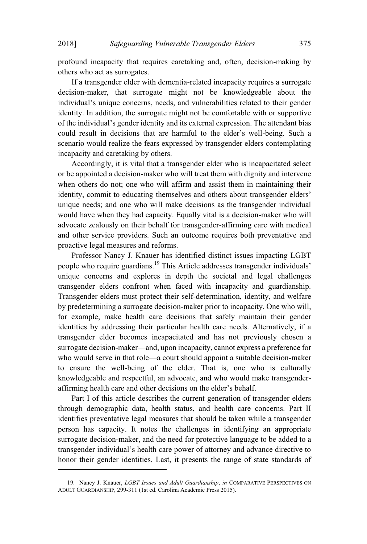profound incapacity that requires caretaking and, often, decision-making by others who act as surrogates.

If a transgender elder with dementia-related incapacity requires a surrogate decision-maker, that surrogate might not be knowledgeable about the individual's unique concerns, needs, and vulnerabilities related to their gender identity. In addition, the surrogate might not be comfortable with or supportive of the individual's gender identity and its external expression. The attendant bias could result in decisions that are harmful to the elder's well-being. Such a scenario would realize the fears expressed by transgender elders contemplating incapacity and caretaking by others.

Accordingly, it is vital that a transgender elder who is incapacitated select or be appointed a decision-maker who will treat them with dignity and intervene when others do not; one who will affirm and assist them in maintaining their identity, commit to educating themselves and others about transgender elders' unique needs; and one who will make decisions as the transgender individual would have when they had capacity. Equally vital is a decision-maker who will advocate zealously on their behalf for transgender-affirming care with medical and other service providers. Such an outcome requires both preventative and proactive legal measures and reforms.

Professor Nancy J. Knauer has identified distinct issues impacting LGBT people who require guardians.<sup>19</sup> This Article addresses transgender individuals' unique concerns and explores in depth the societal and legal challenges transgender elders confront when faced with incapacity and guardianship. Transgender elders must protect their self-determination, identity, and welfare by predetermining a surrogate decision-maker prior to incapacity. One who will, for example, make health care decisions that safely maintain their gender identities by addressing their particular health care needs. Alternatively, if a transgender elder becomes incapacitated and has not previously chosen a surrogate decision-maker—and, upon incapacity, cannot express a preference for who would serve in that role—a court should appoint a suitable decision-maker to ensure the well-being of the elder. That is, one who is culturally knowledgeable and respectful, an advocate, and who would make transgenderaffirming health care and other decisions on the elder's behalf.

Part I of this article describes the current generation of transgender elders through demographic data, health status, and health care concerns. Part II identifies preventative legal measures that should be taken while a transgender person has capacity. It notes the challenges in identifying an appropriate surrogate decision-maker, and the need for protective language to be added to a transgender individual's health care power of attorney and advance directive to honor their gender identities. Last, it presents the range of state standards of

<sup>19.</sup> Nancy J. Knauer, *LGBT Issues and Adult Guardianship*, *in* COMPARATIVE PERSPECTIVES ON ADULT GUARDIANSHIP, 299-311 (1st ed. Carolina Academic Press 2015).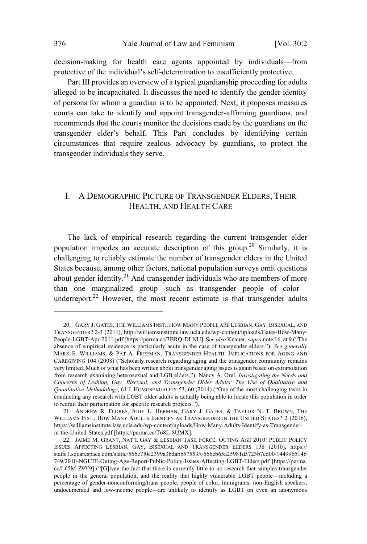decision-making for health care agents appointed by individuals—from protective of the individual's self-determination to insufficiently protective.

Part III provides an overview of a typical guardianship proceeding for adults alleged to be incapacitated. It discusses the need to identify the gender identity of persons for whom a guardian is to be appointed. Next, it proposes measures courts can take to identify and appoint transgender-affirming guardians, and recommends that the courts monitor the decisions made by the guardians on the transgender elder's behalf. This Part concludes by identifying certain circumstances that require zealous advocacy by guardians, to protect the transgender individuals they serve.

## I. A DEMOGRAPHIC PICTURE OF TRANSGENDER ELDERS, THEIR HEALTH, AND HEALTH CARE

The lack of empirical research regarding the current transgender elder population impedes an accurate description of this group.<sup>20</sup> Similarly, it is challenging to reliably estimate the number of transgender elders in the United States because, among other factors, national population surveys omit questions about gender identity.<sup>21</sup> And transgender individuals who are members of more than one marginalized group—such as transgender people of color underreport.<sup>22</sup> However, the most recent estimate is that transgender adults

<sup>20.</sup> GARY J. GATES, THE WILLIAMS INST., HOW MANY PEOPLE ARE LESBIAN, GAY, BISEXUAL, AND TRANSGENDER? 2-3 (2011), http://williamsinstitute.law.ucla.edu/wp-content/uploads/Gates-How-Many-People-LGBT-Apr-2011.pdf [https://perma.cc/3BRQ-DLNU]. See also Knauer, *supra* note 16, at 9 ("The absence of empirical evidence is particularly acute in the case of transgender elders."). *See generally* MARK E. WILLIAMS, & PAT A. FREEMAN, TRANSGENDER HEALTH: IMPLICATIONS FOR AGING AND CAREGIVING  $104$  (2008) ("Scholarly research regarding aging and the transgender community remains very limited. Much of what has been written about transgender aging issues is again based on extrapolation from research examining heterosexual and LGB elders.3); Nancy A. Orel, *Investigating the Needs and Concerns of Lesbian, Gay, Bisexual, and Transgender Older Adults: The Use of Qualitative and Quantitative Methodology*, 61 J. HOMOSEXUALITY 53, 60 (2014) ("One of the most challenging tasks in conducting any research with LGBT older adults is actually being able to locate this population in order to recruit their participation for specific research projects.").

<sup>21.</sup> ANDREW R. FLORES, JODY L. HERMAN, GARY J. GATES, & TAYLOR N. T. BROWN, THE WILLIAMS INST., HOW MANY ADULTS IDENTIFY AS TRANSGENDER IN THE UNITED STATES? 2 (2016), https://williamsinstitute.law.ucla.edu/wp-content/uploads/How-Many-Adults-Identify-as-Transgenderin-the-United-States.pdf [https://perma.cc/T68L-8UMX].

<sup>22.</sup> JAIME M. GRANT, NAT'L GAY & LESBIAN TASK FORCE, OUTING AGE 2010: PUBLIC POLICY ISSUES AFFECTING LESBIAN, GAY, BISEXUAL AND TRANSGENDER ELDERS 138 (2010), https:// static1.squarespace.com/static/566c7f0c2399a3bdabb57553/t/566cb65a25981d5723b7ed00/1449965146 749/2010-NGLTF-Outing-Age-Report-Public-Policy-Issues-Affecting-LGBT-Elders.pdf [https://perma. cc/L65M-Z9Y9] ("[G]iven the fact that there is currently little to no research that samples transgender people in the general population, and the reality that highly vulnerable LGBT people—including a percentage of gender-nonconforming/trans people, people of color, immigrants, non-English speakers, undocumented and low-income people—are unlikely to identify as LGBT on even an anonymous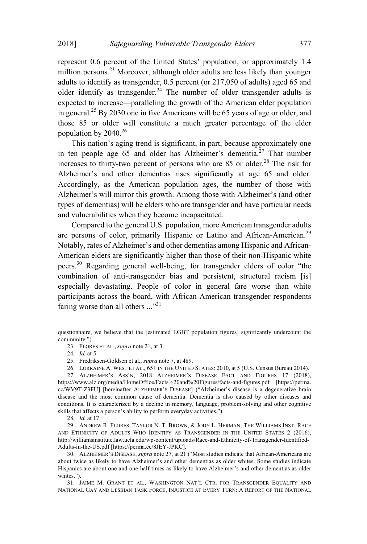represent 0.6 percent of the United States' population, or approximately 1.4 million persons.<sup>23</sup> Moreover, although older adults are less likely than younger adults to identify as transgender, 0.5 percent (or 217,050 of adults) aged 65 and older identify as transgender.<sup>24</sup> The number of older transgender adults is expected to increase—paralleling the growth of the American elder population in general.<sup>25</sup> By 2030 one in five Americans will be 65 years of age or older, and those 85 or older will constitute a much greater percentage of the elder population by  $2040.<sup>26</sup>$ 

This nation's aging trend is significant, in part, because approximately one in ten people age 65 and older has Alzheimer's dementia.<sup>27</sup> That number increases to thirty-two percent of persons who are  $85$  or older.<sup>28</sup> The risk for Alzheimer's and other dementias rises significantly at age 65 and older. Accordingly, as the American population ages, the number of those with Alzheimer's will mirror this growth. Among those with Alzheimer's (and other types of dementias) will be elders who are transgender and have particular needs and vulnerabilities when they become incapacitated.

Compared to the general U.S. population, more American transgender adults are persons of color, primarily Hispanic or Latino and African-American.<sup>29</sup> Notably, rates of Alzheimer's and other dementias among Hispanic and African-American elders are significantly higher than those of their non-Hispanic white peers.<sup>30</sup> Regarding general well-being, for transgender elders of color "the combination of anti-transgender bias and persistent, structural racism [is] especially devastating. People of color in general fare worse than white participants across the board, with African-American transgender respondents faring worse than all others  $\ldots$ <sup>31</sup>

questionnaire, we believe that the [estimated LGBT population figures] significantly undercount the community.").

<sup>23.</sup> FLORES ET AL., *supra* note 21, at 3.

<sup>24</sup>*. Id.* at 5.

<sup>25.</sup> Fredriksen-Goldsen et al., *supra* note 7, at 489.

<sup>26.</sup> LORRAINE A. WEST ET AL., 65+ IN THE UNITED STATES: 2010, at 5 (U.S. Census Bureau 2014).

<sup>27.</sup> ALZHEIMER'S ASS'N, 2018 ALZHEIMER'S DISEASE FACT AND FIGURES 17 (2018), https://www.alz.org/media/HomeOffice/Facts%20and%20Figures/facts-and-figures.pdf [https://perma. cc/WV9T-Z3FU] [hereinafter ALZHEIMER'S DISEASE] ("Alzheimer's disease is a degenerative brain disease and the most common cause of dementia. Dementia is also caused by other diseases and conditions. It is characterized by a decline in memory, language, problem-solving and other cognitive skills that affects a person's ability to perform everyday activities.").

<sup>28</sup>*. Id.* at 17.

<sup>29.</sup> ANDREW R. FLORES, TAYLOR N. T. BROWN, & JODY L. HERMAN, THE WILLIAMS INST. RACE AND ETHNICITY OF ADULTS WHO IDENTIFY AS TRANSGENDER IN THE UNITED STATES 2 (2016), http://williamsinstitute.law.ucla.edu/wp-content/uploads/Race-and-Ethnicity-of-Transgender-Identified-Adults-in-the-US.pdf [https://perma.cc/8JEY-JPKC].

<sup>30.</sup> ALZHEIMER'S DISEASE, *supra* note 27, at 21 ("Most studies indicate that African-Americans are about twice as likely to have Alzheimer's and other dementias as older whites. Some studies indicate Hispanics are about one and one-half times as likely to have Alzheimer's and other dementias as older whites.").

<sup>31.</sup> JAIME M. GRANT ET AL., WASHINGTON NAT'L CTR. FOR TRANSGENDER EQUALITY AND NATIONAL GAY AND LESBIAN TASK FORCE, INJUSTICE AT EVERY TURN: A REPORT OF THE NATIONAL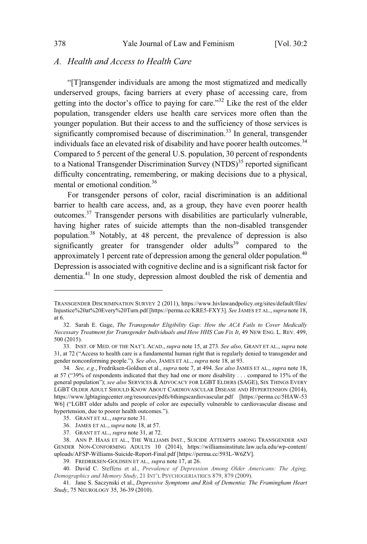#### *A. Health and Access to Health Care*

"[T] ransgender individuals are among the most stigmatized and medically underserved groups, facing barriers at every phase of accessing care, from getting into the doctor's office to paying for care."<sup>32</sup> Like the rest of the elder population, transgender elders use health care services more often than the younger population. But their access to and the sufficiency of those services is significantly compromised because of discrimination.<sup>33</sup> In general, transgender individuals face an elevated risk of disability and have poorer health outcomes.<sup>34</sup> Compared to 5 percent of the general U.S. population, 30 percent of respondents to a National Transgender Discrimination Survey (NTDS)<sup>35</sup> reported significant difficulty concentrating, remembering, or making decisions due to a physical, mental or emotional condition.<sup>36</sup>

For transgender persons of color, racial discrimination is an additional barrier to health care access, and, as a group, they have even poorer health outcomes.<sup>37</sup> Transgender persons with disabilities are particularly vulnerable, having higher rates of suicide attempts than the non-disabled transgender population.<sup>38</sup> Notably, at 48 percent, the prevalence of depression is also significantly greater for transgender older adults<sup>39</sup> compared to the approximately 1 percent rate of depression among the general older population.<sup>40</sup> Depression is associated with cognitive decline and is a significant risk factor for dementia.<sup>41</sup> In one study, depression almost doubled the risk of dementia and

TRANSGENDER DISCRIMINATION SURVEY 2 (2011), https://www.hivlawandpolicy.org/sites/default/files/ Injustice%20at%20Every%20Turn.pdf [https://perma.cc/KRE5-FXY3]. *See* JAMES ET AL.,*supra* note 18, at 6.

<sup>32.</sup> Sarah E. Gage, *The Transgender Eligibility Gap: How the ACA Fails to Cover Medically Necessary Treatment for Transgender Individuals and How HHS Can Fix It*, 49 NEW ENG. L. REV. 499, 500 (2015).

<sup>33.</sup> INST. OF MED. OF THE NAT'L ACAD., *supra* note 15, at 273. *See also,* GRANT ET AL., *supra* note 31, at 72 ("Access to health care is a fundamental human right that is regularly denied to transgender and gender nonconforming people.3). *See also*, JAMES ET AL., *supra* note 18, at 93.

<sup>34</sup>*. See, e.g.*, Fredriksen-Goldsen et al., *supra* note 7, at 494. *See also* JAMES ET AL., *supra* note 18, at 57 ("39% of respondents indicated that they had one or more disability . . . compared to 15% of the general population"); see also SERVICES & ADVOCACY FOR LGBT ELDERS (SAGE), SIX THINGS EVERY LGBT OLDER ADULT SHOULD KNOW ABOUT CARDIOVASCULAR DISEASE AND HYPERTENSION (2014), https://www.lgbtagingcenter.org/resources/pdfs/6thingscardiovascular.pdf [https://perma.cc/5HAW-53 W6] ("LGBT older adults and people of color are especially vulnerable to cardiovascular disease and hypertension, due to poorer health outcomes.").

<sup>35.</sup> GRANT ET AL., *supra* note 31.

<sup>36.</sup> JAMES ET AL., *supra* note 18, at 57.

<sup>37.</sup> GRANT ET AL., *supra* note 31, at 72.

<sup>38.</sup> ANN P. HAAS ET AL., THE WILLIAMS INST., SUICIDE ATTEMPTS AMONG TRANSGENDER AND GENDER NON-CONFORMING ADULTS 10 (2014), https://williamsinstitute.law.ucla.edu/wp-content/ uploads/AFSP-Williams-Suicide-Report-Final.pdf [https://perma.cc/593L-W6ZV].

<sup>39.</sup> FREDRIKSEN-GOLDSEN ET AL.*, supra* note 17, at 26.

<sup>40.</sup> David C. Steffens et al., *Prevalence of Depression Among Older Americans: The Aging, Demographics and Memory Study*, 21 INT'L PSYCHOGERIATRICS 879, 879 (2009).

<sup>41.</sup> Jane S. Saczynski et al., *Depressive Symptoms and Risk of Dementia: The Framingham Heart Study*, 75 NEUROLOGY 35, 36-39 (2010).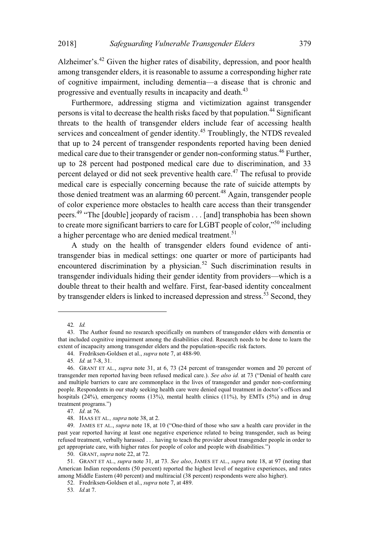Alzheimer's.<sup>42</sup> Given the higher rates of disability, depression, and poor health among transgender elders, it is reasonable to assume a corresponding higher rate of cognitive impairment, including dementia—a disease that is chronic and progressive and eventually results in incapacity and death.<sup>43</sup>

Furthermore, addressing stigma and victimization against transgender persons is vital to decrease the health risks faced by that population.<sup>44</sup> Significant threats to the health of transgender elders include fear of accessing health services and concealment of gender identity.<sup>45</sup> Troublingly, the NTDS revealed that up to 24 percent of transgender respondents reported having been denied medical care due to their transgender or gender non-conforming status.<sup>46</sup> Further, up to 28 percent had postponed medical care due to discrimination, and 33 percent delayed or did not seek preventive health care.<sup>47</sup> The refusal to provide medical care is especially concerning because the rate of suicide attempts by those denied treatment was an alarming 60 percent.<sup>48</sup> Again, transgender people of color experience more obstacles to health care access than their transgender peers.<sup>49</sup> "The [double] jeopardy of racism . . . [and] transphobia has been shown to create more significant barriers to care for LGBT people of color,"<sup>50</sup> including a higher percentage who are denied medical treatment.<sup>51</sup>

A study on the health of transgender elders found evidence of antitransgender bias in medical settings: one quarter or more of participants had encountered discrimination by a physician.<sup>52</sup> Such discrimination results in transgender individuals hiding their gender identity from providers—which is a double threat to their health and welfare. First, fear-based identity concealment by transgender elders is linked to increased depression and stress.<sup>53</sup> Second, they

<sup>42.</sup> Id.

<sup>43.</sup> The Author found no research specifically on numbers of transgender elders with dementia or that included cognitive impairment among the disabilities cited. Research needs to be done to learn the extent of incapacity among transgender elders and the population-specific risk factors.

<sup>44.</sup> Fredriksen-Goldsen et al., *supra* note 7, at 488-90.

<sup>45.</sup> *Id.* at 7-8, 31.

<sup>46.</sup> GRANT ET AL., *supra* note 31, at 6, 73 (24 percent of transgender women and 20 percent of transgender men reported having been refused medical care.). See also id. at 73 ("Denial of health care and multiple barriers to care are commonplace in the lives of transgender and gender non-conforming people. Respondents in our study seeking health care were denied equal treatment in doctor's offices and hospitals  $(24%)$ , emergency rooms  $(13%)$ , mental health clinics  $(11%)$ , by EMTs  $(5%)$  and in drug treatment programs.")

<sup>47.</sup> Id. at 76.

<sup>48.</sup> HAAS ET AL., supra note 38, at 2.

<sup>49.</sup> JAMES ET AL., *supra* note 18, at 10 ("One-third of those who saw a health care provider in the past year reported having at least one negative experience related to being transgender, such as being refused treatment, verbally harassed . . . having to teach the provider about transgender people in order to get appropriate care, with higher rates for people of color and people with disabilities.")

<sup>50.</sup> GRANT, *supra* note 22, at 72.

<sup>51.</sup> GRANT ET AL., supra note 31, at 73. See also, JAMES ET AL., supra note 18, at 97 (noting that American Indian respondents (50 percent) reported the highest level of negative experiences, and rates among Middle Eastern (40 percent) and multiracial (38 percent) respondents were also higher).

<sup>52.</sup> Fredriksen-Goldsen et al., supra note 7, at 489.

<sup>53.</sup> *Id.* at 7.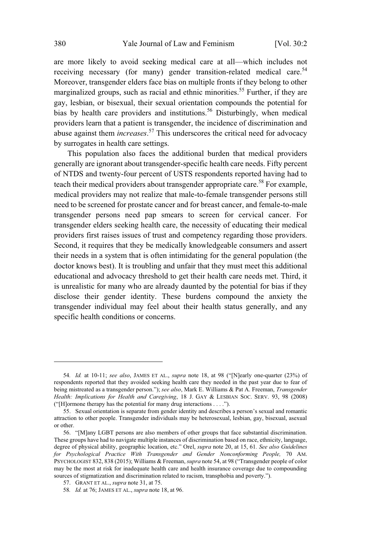are more likely to avoid seeking medical care at all-which includes not receiving necessary (for many) gender transition-related medical care.<sup>54</sup> Moreover, transgender elders face bias on multiple fronts if they belong to other marginalized groups, such as racial and ethnic minorities.<sup>55</sup> Further, if they are gay, lesbian, or bisexual, their sexual orientation compounds the potential for bias by health care providers and institutions.<sup>56</sup> Disturbingly, when medical providers learn that a patient is transgender, the incidence of discrimination and abuse against them *increases*. <sup>57</sup> This underscores the critical need for advocacy by surrogates in health care settings.

This population also faces the additional burden that medical providers generally are ignorant about transgender-specific health care needs. Fifty percent of NTDS and twenty-four percent of USTS respondents reported having had to teach their medical providers about transgender appropriate care.<sup>58</sup> For example, medical providers may not realize that male-to-female transgender persons still need to be screened for prostate cancer and for breast cancer, and female-to-male transgender persons need pap smears to screen for cervical cancer. For transgender elders seeking health care, the necessity of educating their medical providers first raises issues of trust and competency regarding those providers. Second, it requires that they be medically knowledgeable consumers and assert their needs in a system that is often intimidating for the general population (the doctor knows best). It is troubling and unfair that they must meet this additional educational and advocacy threshold to get their health care needs met. Third, it is unrealistic for many who are already daunted by the potential for bias if they disclose their gender identity. These burdens compound the anxiety the transgender individual may feel about their health status generally, and any specific health conditions or concerns.

<sup>54.</sup> Id. at 10-11; see also, JAMES ET AL., *supra* note 18, at 98 ("[N]early one-quarter (23%) of respondents reported that they avoided seeking health care they needed in the past year due to fear of being mistreated as a transgender person.3); *see also*, Mark E. Williams & Pat A. Freeman, *Transgender Health: Implications for Health and Caregiving*, 18 J. GAY & LESBIAN SOC. SERV. 93, 98 (2008) ("[H]ormone therapy has the potential for many drug interactions  $\dots$ ").

<sup>55.</sup> Sexual orientation is separate from gender identity and describes a person's sexual and romantic attraction to other people. Transgender individuals may be heterosexual, lesbian, gay, bisexual, asexual or other.

<sup>56. &</sup>quot;[M]any LGBT persons are also members of other groups that face substantial discrimination. These groups have had to navigate multiple instances of discrimination based on race, ethnicity, language, degree of physical ability, geographic location, etc." Orel, *supra* note 20, at 15, 61. *See also Guidelines for Psychological Practice With Transgender and Gender Nonconforming People,* 70 AM. PSYCHOLOGIST 832, 838 (2015); Williams & Freeman, *supra* note 54, at 98 ("Transgender people of color may be the most at risk for inadequate health care and health insurance coverage due to compounding sources of stigmatization and discrimination related to racism, transphobia and poverty.").

<sup>57.</sup> GRANT ET AL., *supra* note 31, at 75.

<sup>58</sup>*. Id.* at 76; JAMES ET AL., *supra* note 18, at 96.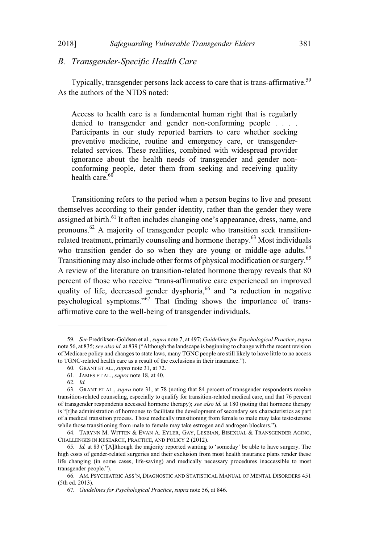#### 2018]

# B. Transgender-Specific Health Care

Typically, transgender persons lack access to care that is trans-affirmative.<sup>59</sup> As the authors of the NTDS noted:

Access to health care is a fundamental human right that is regularly denied to transgender and gender non-conforming people . . . . Participants in our study reported barriers to care whether seeking preventive medicine, routine and emergency care, or transgenderrelated services. These realities, combined with widespread provider ignorance about the health needs of transgender and gender nonconforming people, deter them from seeking and receiving quality health care.<sup>60</sup>

Transitioning refers to the period when a person begins to live and present themselves according to their gender identity, rather than the gender they were assigned at birth.<sup>61</sup> It often includes changing one's appearance, dress, name, and pronouns.<sup>62</sup> A majority of transgender people who transition seek transitionrelated treatment, primarily counseling and hormone therapy.<sup>63</sup> Most individuals who transition gender do so when they are young or middle-age adults.<sup>64</sup> Transitioning may also include other forms of physical modification or surgery.<sup>65</sup> A review of the literature on transition-related hormone therapy reveals that 80 percent of those who receive "trans-affirmative care experienced an improved quality of life, decreased gender dysphoria, <sup>66</sup> and "a reduction in negative psychological symptoms."<sup>67</sup> That finding shows the importance of transaffirmative care to the well-being of transgender individuals.

<sup>59.</sup> See Fredriksen-Goldsen et al., supra note 7, at 497; Guidelines for Psychological Practice, supra note 56, at 835; see also id. at 839 ("Although the landscape is beginning to change with the recent revision of Medicare policy and changes to state laws, many TGNC people are still likely to have little to no access to TGNC-related health care as a result of the exclusions in their insurance.").

<sup>60.</sup> GRANT ET AL., supra note 31, at 72.

<sup>61.</sup> JAMES ET AL., *supra* note 18, at 40.

<sup>62.</sup> Id.

<sup>63.</sup> GRANT ET AL., *supra* note 31, at 78 (noting that 84 percent of transgender respondents receive transition-related counseling, especially to qualify for transition-related medical care, and that 76 percent of transgender respondents accessed hormone therapy); see also id. at 180 (noting that hormone therapy is "[t]he administration of hormones to facilitate the development of secondary sex characteristics as part of a medical transition process. Those medically transitioning from female to male may take testosterone while those transitioning from male to female may take estrogen and androgen blockers.").

<sup>64.</sup> TARYNN M. WITTEN & EVAN A. EYLER, GAY, LESBIAN, BISEXUAL & TRANSGENDER AGING, CHALLENGES IN RESEARCH, PRACTICE, AND POLICY 2 (2012).

<sup>65.</sup> Id. at 83 ("[A]lthough the majority reported wanting to 'someday' be able to have surgery. The high costs of gender-related surgeries and their exclusion from most health insurance plans render these life changing (in some cases, life-saving) and medically necessary procedures inaccessible to most transgender people.").

<sup>66.</sup> AM. PSYCHIATRIC ASS'N, DIAGNOSTIC AND STATISTICAL MANUAL OF MENTAL DISORDERS 451 (5th ed. 2013).

<sup>67.</sup> Guidelines for Psychological Practice, supra note 56, at 846.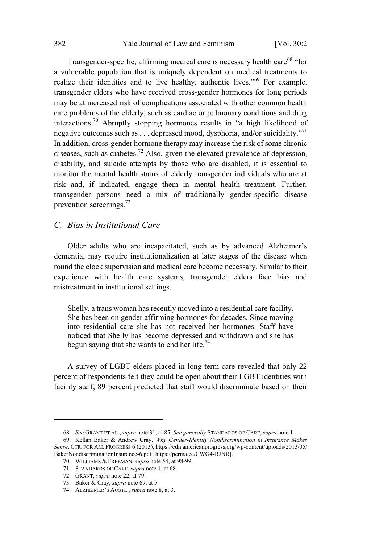Transgender-specific, affirming medical care is necessary health care<sup>68</sup> "for a vulnerable population that is uniquely dependent on medical treatments to realize their identities and to live healthy, authentic lives."<sup>69</sup> For example, transgender elders who have received cross-gender hormones for long periods may be at increased risk of complications associated with other common health care problems of the elderly, such as cardiac or pulmonary conditions and drug interactions.<sup>70</sup> Abruptly stopping hormones results in "a high likelihood of negative outcomes such as . . . depressed mood, dysphoria, and/or suicidality."<sup>71</sup> In addition, cross-gender hormone therapy may increase the risk of some chronic diseases, such as diabetes.<sup>72</sup> Also, given the elevated prevalence of depression, disability, and suicide attempts by those who are disabled, it is essential to monitor the mental health status of elderly transgender individuals who are at risk and, if indicated, engage them in mental health treatment. Further, transgender persons need a mix of traditionally gender-specific disease prevention screenings.<sup>73</sup>

#### *C. Bias in Institutional Care*

Older adults who are incapacitated, such as by advanced Alzheimer's dementia, may require institutionalization at later stages of the disease when round the clock supervision and medical care become necessary. Similar to their experience with health care systems, transgender elders face bias and mistreatment in institutional settings.

Shelly, a trans woman has recently moved into a residential care facility. She has been on gender affirming hormones for decades. Since moving into residential care she has not received her hormones. Staff have noticed that Shelly has become depressed and withdrawn and she has begun saying that she wants to end her life.<sup>74</sup>

A survey of LGBT elders placed in long-term care revealed that only 22 percent of respondents felt they could be open about their LGBT identities with facility staff, 89 percent predicted that staff would discriminate based on their

70. WILLIAMS & FREEMAN, *supra* note 54, at 98-99.

<sup>68</sup>*. See* GRANT ET AL., *supra* note 31, at 85. *See generally* STANDARDS OF CARE, *supra* note 1.

<sup>69.</sup> Kellan Baker & Andrew Cray, *Why Gender-Identity Nondiscrimination in Insurance Makes Sense*, CTR. FOR AM. PROGRESS 6 (2013), https://cdn.americanprogress.org/wp-content/uploads/2013/05/ BakerNondiscriminationInsurance-6.pdf [https://perma.cc/CWG4-RJNR].

<sup>71.</sup> STANDARDS OF CARE, *supra* note 1, at 68.

<sup>72.</sup> GRANT, *supra* note 22, at 79.

<sup>73.</sup> Baker & Cray, *supra* note 69, at 5.

<sup>74.</sup> ALZHEIMER'S AUSTL., *supra* note 8, at 3.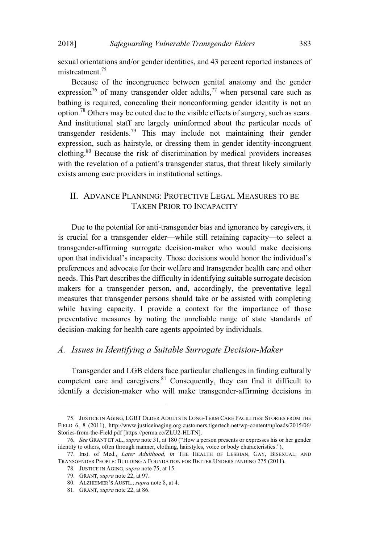sexual orientations and/or gender identities, and 43 percent reported instances of mistreatment.<sup>75</sup>

Because of the incongruence between genital anatomy and the gender expression<sup>76</sup> of many transgender older adults,<sup>77</sup> when personal care such as bathing is required, concealing their nonconforming gender identity is not an option.<sup>78</sup> Others may be outed due to the visible effects of surgery, such as scars. And institutional staff are largely uninformed about the particular needs of transgender residents.<sup>79</sup> This may include not maintaining their gender expression, such as hairstyle, or dressing them in gender identity-incongruent clothing.<sup>80</sup> Because the risk of discrimination by medical providers increases with the revelation of a patient's transgender status, that threat likely similarly exists among care providers in institutional settings.

## II. ADVANCE PLANNING: PROTECTIVE LEGAL MEASURES TO BE TAKEN PRIOR TO INCAPACITY

Due to the potential for anti-transgender bias and ignorance by caregivers, it is crucial for a transgender elder—while still retaining capacity—to select a transgender-affirming surrogate decision-maker who would make decisions upon that individual's incapacity. Those decisions would honor the individual's preferences and advocate for their welfare and transgender health care and other needs. This Part describes the difficulty in identifying suitable surrogate decision makers for a transgender person, and, accordingly, the preventative legal measures that transgender persons should take or be assisted with completing while having capacity. I provide a context for the importance of those preventative measures by noting the unreliable range of state standards of decision-making for health care agents appointed by individuals.

#### *A. Issues in Identifying a Suitable Surrogate Decision-Maker*

Transgender and LGB elders face particular challenges in finding culturally competent care and caregivers.<sup>81</sup> Consequently, they can find it difficult to identify a decision-maker who will make transgender-affirming decisions in

<sup>75.</sup> JUSTICE IN AGING, LGBT OLDER ADULTS IN LONG-TERM CARE FACILITIES: STORIES FROM THE FIELD 6, 8 (2011), http://www.justiceinaging.org.customers.tigertech.net/wp-content/uploads/2015/06/ Stories-from-the-Field.pdf [https://perma.cc/ZLU2-HLTN].

<sup>76.</sup> See GRANT ET AL., *supra* note 31, at 180 ("How a person presents or expresses his or her gender identity to others, often through manner, clothing, hairstyles, voice or body characteristics.").

<sup>77.</sup> Inst. of Med., *Later Adulthood, in* THE HEALTH OF LESBIAN, GAY, BISEXUAL, AND TRANSGENDER PEOPLE: BUILDING A FOUNDATION FOR BETTER UNDERSTANDING 275 (2011).

<sup>78.</sup> JUSTICE IN AGING, *supra* note 75, at 15.

<sup>79.</sup> GRANT, *supra* note 22, at 97.

<sup>80.</sup> ALZHEIMER'S AUSTL., *supra* note 8, at 4.

<sup>81.</sup> GRANT, *supra* note 22, at 86.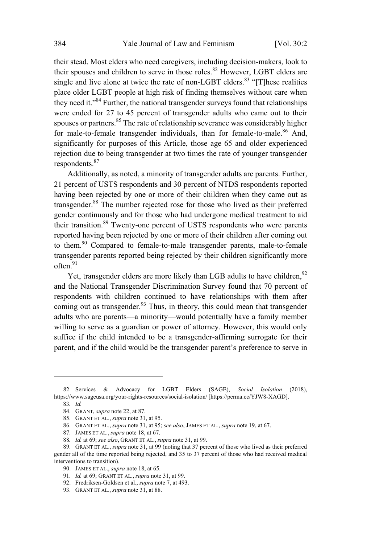their stead. Most elders who need caregivers, including decision-makers, look to their spouses and children to serve in those roles.<sup>82</sup> However, LGBT elders are single and live alone at twice the rate of non-LGBT elders.<sup>83</sup> "[T] hese realities place older LGBT people at high risk of finding themselves without care when they need it."<sup>84</sup> Further, the national transgender surveys found that relationships were ended for 27 to 45 percent of transgender adults who came out to their spouses or partners.<sup>85</sup> The rate of relationship severance was considerably higher for male-to-female transgender individuals, than for female-to-male.<sup>86</sup> And, significantly for purposes of this Article, those age 65 and older experienced rejection due to being transgender at two times the rate of younger transgender respondents.<sup>87</sup>

Additionally, as noted, a minority of transgender adults are parents. Further, 21 percent of USTS respondents and 30 percent of NTDS respondents reported having been rejected by one or more of their children when they came out as transgender.<sup>88</sup> The number rejected rose for those who lived as their preferred gender continuously and for those who had undergone medical treatment to aid their transition.<sup>89</sup> Twenty-one percent of USTS respondents who were parents reported having been rejected by one or more of their children after coming out to them.<sup>90</sup> Compared to female-to-male transgender parents, male-to-female transgender parents reported being rejected by their children significantly more  $often.<sup>91</sup>$ 

Yet, transgender elders are more likely than LGB adults to have children,<sup>92</sup> and the National Transgender Discrimination Survey found that 70 percent of respondents with children continued to have relationships with them after coming out as transgender.<sup>93</sup> Thus, in theory, this could mean that transgender adults who are parents—a minority—would potentially have a family member willing to serve as a guardian or power of attorney. However, this would only suffice if the child intended to be a transgender-affirming surrogate for their parent, and if the child would be the transgender parent's preference to serve in

<sup>82.</sup> Services & Advocacy for LGBT Elders (SAGE), *Social Isolation* (2018), https://www.sageusa.org/your-rights-resources/social-isolation/ [https://perma.cc/YJW8-XAGD].

<sup>83</sup>*. Id.*

<sup>84.</sup> GRANT, *supra* note 22, at 87.

<sup>85.</sup> GRANT ET AL., *supra* note 31, at 95.

<sup>86.</sup> GRANT ET AL., *supra* note 31, at 95; *see also*, JAMES ET AL., *supra* note 19, at 67.

<sup>87.</sup> JAMES ET AL., *supra* note 18, at 67.

<sup>88</sup>*. Id.* at 69; *see also*, GRANT ET AL., *supra* note 31, at 99.

<sup>89.</sup> GRANT ET AL., *supra* note 31, at 99 (noting that 37 percent of those who lived as their preferred gender all of the time reported being rejected, and 35 to 37 percent of those who had received medical interventions to transition).

<sup>90.</sup> JAMES ET AL., *supra* note 18, at 65.

<sup>91</sup>*. Id.* at 69; GRANT ET AL., *supra* note 31, at 99.

<sup>92.</sup> Fredriksen-Goldsen et al., *supra* note 7, at 493.

<sup>93.</sup> GRANT ET AL., *supra* note 31, at 88.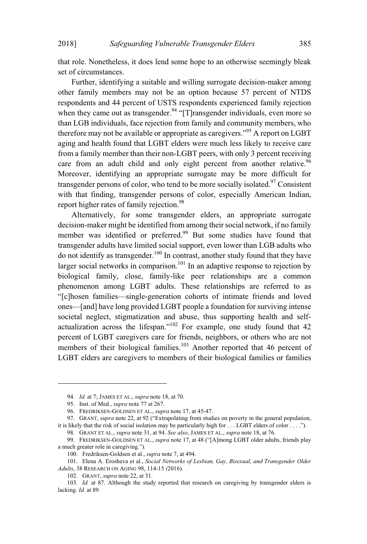that role. Nonetheless, it does lend some hope to an otherwise seemingly bleak set of circumstances.

Further, identifying a suitable and willing surrogate decision-maker among other family members may not be an option because 57 percent of NTDS respondents and 44 percent of USTS respondents experienced family rejection when they came out as transgender.<sup>94</sup> " $[T]$ ransgender individuals, even more so than LGB individuals, face rejection from family and community members, who therefore may not be available or appropriate as caregivers."<sup>95</sup> A report on LGBT aging and health found that LGBT elders were much less likely to receive care from a family member than their non-LGBT peers, with only 3 percent receiving care from an adult child and only eight percent from another relative.<sup>96</sup> Moreover, identifying an appropriate surrogate may be more difficult for transgender persons of color, who tend to be more socially isolated.<sup>97</sup> Consistent with that finding, transgender persons of color, especially American Indian, report higher rates of family rejection.<sup>98</sup>

Alternatively, for some transgender elders, an appropriate surrogate decision-maker might be identified from among their social network, if no family member was identified or preferred.<sup>99</sup> But some studies have found that transgender adults have limited social support, even lower than LGB adults who do not identify as transgender.<sup>100</sup> In contrast, another study found that they have larger social networks in comparison.<sup>101</sup> In an adaptive response to rejection by biological family, close, family-like peer relationships are a common phenomenon among LGBT adults. These relationships are referred to as "[c]hosen families—single-generation cohorts of intimate friends and loved ones—[and] have long provided LGBT people a foundation for surviving intense societal neglect, stigmatization and abuse, thus supporting health and selfactualization across the lifespan."<sup>102</sup> For example, one study found that  $42$ percent of LGBT caregivers care for friends, neighbors, or others who are not members of their biological families.<sup>103</sup> Another reported that 46 percent of LGBT elders are caregivers to members of their biological families or families

<sup>94</sup>*. Id.* at 7; JAMES ET AL., *supra* note 18, at 70.

<sup>95.</sup> Inst. of Med., *supra* note 77 at 267.

<sup>96.</sup> FREDRIKSEN-GOLDSEN ET AL., *supra* note 17, at 45-47.

<sup>97.</sup> GRANT, *supra* note 22, at 92 ("Extrapolating from studies on poverty in the general population, it is likely that the risk of social isolation may be particularly high for  $\dots$  LGBT elders of color  $\dots$ .").

<sup>98.</sup> GRANT ET AL., *supra* note 31, at 94. *See also*, JAMES ET AL., *supra* note 18, at 76.

<sup>99.</sup> FREDRIKSEN-GOLDSEN ET AL., *supra* note 17, at 48 ("[A]mong LGBT older adults, friends play a much greater role in caregiving.").

<sup>100.</sup> Fredriksen-Goldsen et al., *supra* note 7, at 494.

<sup>101.</sup> Elena A. Erosheva et al., *Social Networks of Lesbian, Gay, Bisexual, and Transgender Older Adults*, 38 RESEARCH ON AGING 98, 114-15 *(*2016).

<sup>102.</sup> GRANT, *supra* note 22, at 31.

<sup>103</sup>*. Id.* at 87. Although the study reported that research on caregiving by transgender elders is lacking. *Id.* at 89.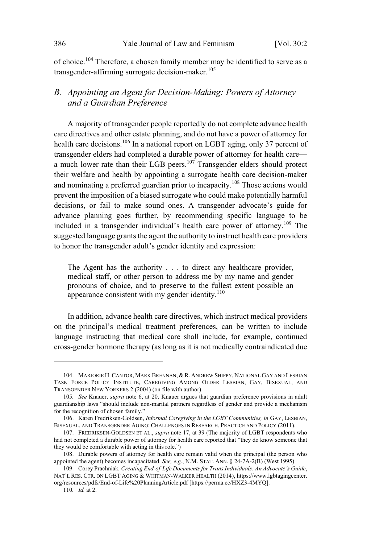of choice.<sup>104</sup> Therefore, a chosen family member may be identified to serve as a transgender-affirming surrogate decision-maker.<sup>105</sup>

## *B. Appointing an Agent for Decision-Making: Powers of Attorney and a Guardian Preference*

A majority of transgender people reportedly do not complete advance health care directives and other estate planning, and do not have a power of attorney for health care decisions.<sup>106</sup> In a national report on LGBT aging, only 37 percent of transgender elders had completed a durable power of attorney for health care a much lower rate than their LGB peers.<sup>107</sup> Transgender elders should protect their welfare and health by appointing a surrogate health care decision-maker and nominating a preferred guardian prior to incapacity.<sup>108</sup> Those actions would prevent the imposition of a biased surrogate who could make potentially harmful decisions, or fail to make sound ones. A transgender advocate's guide for advance planning goes further, by recommending specific language to be included in a transgender individual's health care power of attorney.<sup>109</sup> The suggested language grants the agent the authority to instruct health care providers to honor the transgender adult's gender identity and expression:

The Agent has the authority . . . to direct any healthcare provider, medical staff, or other person to address me by my name and gender pronouns of choice, and to preserve to the fullest extent possible an appearance consistent with my gender identity. $110$ 

In addition, advance health care directives, which instruct medical providers on the principal's medical treatment preferences, can be written to include language instructing that medical care shall include, for example, continued cross-gender hormone therapy (as long as it is not medically contraindicated due

<sup>104.</sup> MARJORIE H.CANTOR, MARK BRENNAN, & R. ANDREW SHIPPY, NATIONAL GAY AND LESBIAN TASK FORCE POLICY INSTITUTE, CAREGIVING AMONG OLDER LESBIAN, GAY, BISEXUAL, AND TRANSGENDER NEW YORKERS 2 (2004) (on file with author).

<sup>105</sup>*. See* Knauer, *supra* note 6, at 20. Knauer argues that guardian preference provisions in adult guardianship laws "should include non-marital partners regardless of gender and provide a mechanism for the recognition of chosen family."

<sup>106.</sup> Karen Fredriksen-Goldsen, *Informal Caregiving in the LGBT Communities, in* GAY, LESBIAN, BISEXUAL, AND TRANSGENDER AGING: CHALLENGES IN RESEARCH, PRACTICE AND POLICY (2011).

<sup>107.</sup> FREDRIKSEN-GOLDSEN ET AL., *supra* note 17, at 39 (The majority of LGBT respondents who had not completed a durable power of attorney for health care reported that "they do know someone that they would be comfortable with acting in this role.")

<sup>108.</sup> Durable powers of attorney for health care remain valid when the principal (the person who appointed the agent) becomes incapacitated. *See, e.g.*, N.M. STAT. ANN. § 24-7A-2(B) (West 1995).

<sup>109.</sup> Corey Prachniak*, Creating End-of-Life Documents for Trans Individuals: An Advocate's Guide*, NAT'L RES. CTR. ON LGBT AGING & WHITMAN-WALKER HEALTH (2014), https://www.lgbtagingcenter. org/resources/pdfs/End-of-Life%20PlanningArticle.pdf [https://perma.cc/HXZ3-4MYQ].

<sup>110</sup>*. Id.* at 2.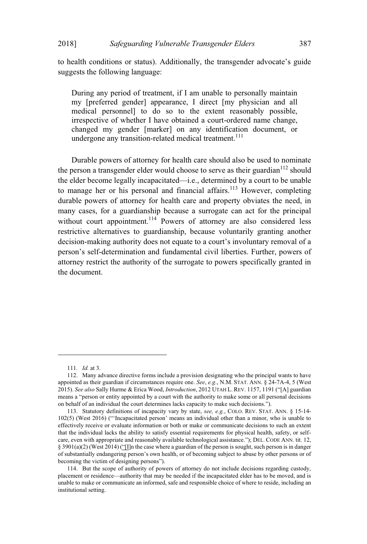to health conditions or status). Additionally, the transgender advocate's guide suggests the following language:

During any period of treatment, if I am unable to personally maintain my [preferred gender] appearance, I direct [my physician and all medical personnel] to do so to the extent reasonably possible, irrespective of whether I have obtained a court-ordered name change, changed my gender [marker] on any identification document, or undergone any transition-related medical treatment.<sup>111</sup>

Durable powers of attorney for health care should also be used to nominate the person a transgender elder would choose to serve as their guardian<sup>112</sup> should the elder become legally incapacitated—i.e., determined by a court to be unable to manage her or his personal and financial affairs.<sup>113</sup> However, completing durable powers of attorney for health care and property obviates the need, in many cases, for a guardianship because a surrogate can act for the principal without court appointment.<sup>114</sup> Powers of attorney are also considered less restrictive alternatives to guardianship, because voluntarily granting another decision-making authority does not equate to a court's involuntary removal of a person's self-determination and fundamental civil liberties. Further, powers of attorney restrict the authority of the surrogate to powers specifically granted in the document.

<sup>111</sup>*. Id.* at 3.

<sup>112.</sup> Many advance directive forms include a provision designating who the principal wants to have appointed as their guardian if circumstances require one. *See*, *e.g*., N.M. STAT. ANN. § 24-7A-4, 5 (West 2015). *See also* Sally Hurme & Erica Wood, *Introduction*, 2012 UTAH L. REV. 1157, 1191 ("[A] guardian means a "person or entity appointed by a court with the authority to make some or all personal decisions on behalf of an individual the court determines lacks capacity to make such decisions.3).

<sup>113.</sup> Statutory definitions of incapacity vary by state, *see, e.g.*, COLO. REV. STAT. ANN. § 15-14- 102(5) (West 2016) ("'Incapacitated person' means an individual other than a minor, who is unable to effectively receive or evaluate information or both or make or communicate decisions to such an extent that the individual lacks the ability to satisfy essential requirements for physical health, safety, or selfcare, even with appropriate and reasonably available technological assistance."); DEL. CODE ANN. tit. 12, § 3901(a)(2) (West 2014) ("II]n the case where a guardian of the person is sought, such person is in danger of substantially endangering person's own health, or of becoming subject to abuse by other persons or of becoming the victim of designing persons").

<sup>114.</sup> But the scope of authority of powers of attorney do not include decisions regarding custody, placement or residence—authority that may be needed if the incapacitated elder has to be moved, and is unable to make or communicate an informed, safe and responsible choice of where to reside, including an institutional setting.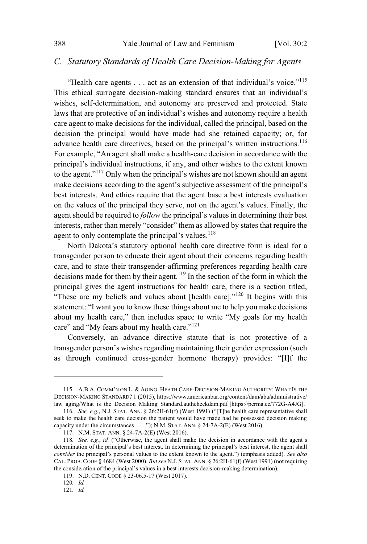#### C. Statutory Standards of Health Care Decision-Making for Agents

"Health care agents . . . act as an extension of that individual's voice."<sup>115</sup> This ethical surrogate decision-making standard ensures that an individual's wishes, self-determination, and autonomy are preserved and protected. State laws that are protective of an individual's wishes and autonomy require a health care agent to make decisions for the individual, called the principal, based on the decision the principal would have made had she retained capacity; or, for advance health care directives, based on the principal's written instructions.<sup>116</sup> For example, "An agent shall make a health-care decision in accordance with the principal's individual instructions, if any, and other wishes to the extent known to the agent."<sup>117</sup> Only when the principal's wishes are not known should an agent make decisions according to the agent's subjective assessment of the principal's best interests. And ethics require that the agent base a best interests evaluation on the values of the principal they serve, not on the agent's values. Finally, the agent should be required to *follow* the principal's values in determining their best interests, rather than merely "consider" them as allowed by states that require the agent to only contemplate the principal's values.<sup>118</sup>

North Dakota's statutory optional health care directive form is ideal for a transgender person to educate their agent about their concerns regarding health care, and to state their transgender-affirming preferences regarding health care decisions made for them by their agent.<sup>119</sup> In the section of the form in which the principal gives the agent instructions for health care, there is a section titled, "These are my beliefs and values about [health care]."<sup>120</sup> It begins with this statement: "I want you to know these things about me to help you make decisions about my health care," then includes space to write "My goals for my health care" and "My fears about my health care."<sup>121</sup>

Conversely, an advance directive statute that is not protective of a transgender person's wishes regarding maintaining their gender expression (such as through continued cross-gender hormone therapy) provides: "[I]f the

<sup>115.</sup> A.B.A. COMM'N ON L. & AGING, HEATH CARE-DECISION-MAKING AUTHORITY: WHAT IS THE DECISION-MAKING STANDARD? 1 (2015), https://www.americanbar.org/content/dam/aba/administrative/ law aging/What is the Decision Making Standard.authcheckdam.pdf [https://perma.cc/772G-A4JG].

<sup>116.</sup> See, e.g., N.J. STAT. ANN. § 26:2H-61(f) (West 1991) ("[T]he health care representative shall seek to make the health care decision the patient would have made had he possessed decision making capacity under the circumstances . . . . "); N.M. STAT. ANN. § 24-7A-2(E) (West 2016).

<sup>117.</sup> N.M. STAT. ANN. § 24-7A-2(E) (West 2016).

<sup>118.</sup> See, e.g., id. ("Otherwise, the agent shall make the decision in accordance with the agent's determination of the principal's best interest. In determining the principal's best interest, the agent shall consider the principal's personal values to the extent known to the agent.") (emphasis added). See also CAL. PROB. CODE § 4684 (West 2000). But see N.J. STAT. ANN. § 26:2H-61(f) (West 1991) (not requiring the consideration of the principal's values in a best interests decision-making determination).

<sup>119.</sup> N.D. CENT. CODE § 23-06.5-17 (West 2017).

<sup>120.</sup>  $Id.$ 

 $121.$  Id.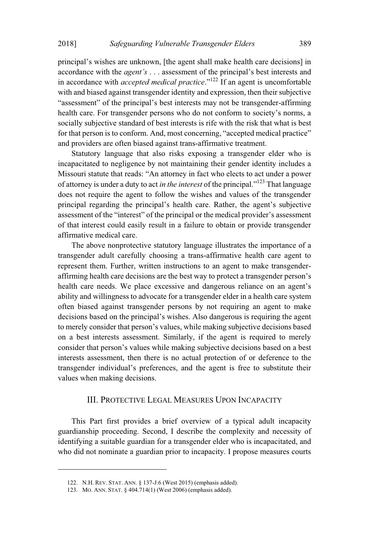principal's wishes are unknown, [the agent shall make health care decisions] in accordance with the *agent's* . . . assessment of the principal's best interests and in accordance with *accepted medical practice*."<sup>122</sup> If an agent is uncomfortable with and biased against transgender identity and expression, then their subjective "assessment" of the principal's best interests may not be transgender-affirming health care. For transgender persons who do not conform to society's norms, a socially subjective standard of best interests is rife with the risk that what is best for that person is to conform. And, most concerning, "accepted medical practice" and providers are often biased against trans-affirmative treatment.

Statutory language that also risks exposing a transgender elder who is incapacitated to negligence by not maintaining their gender identity includes a Missouri statute that reads: "An attorney in fact who elects to act under a power of attorney is under a duty to act *in the interest* of the principal."<sup>123</sup> That language does not require the agent to follow the wishes and values of the transgender principal regarding the principal's health care. Rather, the agent's subjective assessment of the "interest" of the principal or the medical provider's assessment of that interest could easily result in a failure to obtain or provide transgender affirmative medical care.

The above nonprotective statutory language illustrates the importance of a transgender adult carefully choosing a trans-affirmative health care agent to represent them. Further, written instructions to an agent to make transgenderaffirming health care decisions are the best way to protect a transgender person's health care needs. We place excessive and dangerous reliance on an agent's ability and willingness to advocate for a transgender elder in a health care system often biased against transgender persons by not requiring an agent to make decisions based on the principal's wishes. Also dangerous is requiring the agent to merely consider that person's values, while making subjective decisions based on a best interests assessment. Similarly, if the agent is required to merely consider that person's values while making subjective decisions based on a best interests assessment, then there is no actual protection of or deference to the transgender individual's preferences, and the agent is free to substitute their values when making decisions.

#### III. PROTECTIVE LEGAL MEASURES UPON INCAPACITY

This Part first provides a brief overview of a typical adult incapacity guardianship proceeding. Second, I describe the complexity and necessity of identifying a suitable guardian for a transgender elder who is incapacitated, and who did not nominate a guardian prior to incapacity. I propose measures courts

<sup>122.</sup> N.H. REV. STAT. ANN. § 137-J:6 (West 2015) (emphasis added).

<sup>123.</sup> MO. ANN. STAT. § 404.714(1) (West 2006) (emphasis added).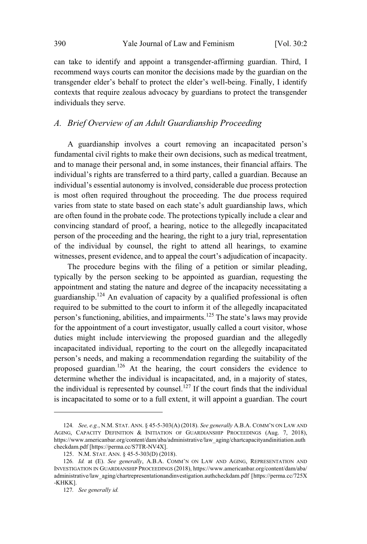can take to identify and appoint a transgender-affirming guardian. Third, I recommend ways courts can monitor the decisions made by the guardian on the transgender elder's behalf to protect the elder's well-being. Finally, I identify contexts that require zealous advocacy by guardians to protect the transgender individuals they serve.

## *A. Brief Overview of an Adult Guardianship Proceeding*

A guardianship involves a court removing an incapacitated person's fundamental civil rights to make their own decisions, such as medical treatment, and to manage their personal and, in some instances, their financial affairs. The individual's rights are transferred to a third party, called a guardian. Because an individual's essential autonomy is involved, considerable due process protection is most often required throughout the proceeding. The due process required varies from state to state based on each state's adult guardianship laws, which are often found in the probate code. The protections typically include a clear and convincing standard of proof, a hearing, notice to the allegedly incapacitated person of the proceeding and the hearing, the right to a jury trial, representation of the individual by counsel, the right to attend all hearings, to examine witnesses, present evidence, and to appeal the court's adjudication of incapacity.

The procedure begins with the filing of a petition or similar pleading, typically by the person seeking to be appointed as guardian, requesting the appointment and stating the nature and degree of the incapacity necessitating a guardianship.<sup>124</sup> An evaluation of capacity by a qualified professional is often required to be submitted to the court to inform it of the allegedly incapacitated person's functioning, abilities, and impairments.<sup>125</sup> The state's laws may provide for the appointment of a court investigator, usually called a court visitor, whose duties might include interviewing the proposed guardian and the allegedly incapacitated individual, reporting to the court on the allegedly incapacitated person's needs, and making a recommendation regarding the suitability of the proposed guardian.<sup>126</sup> At the hearing, the court considers the evidence to determine whether the individual is incapacitated, and, in a majority of states, the individual is represented by counsel.<sup>127</sup> If the court finds that the individual is incapacitated to some or to a full extent, it will appoint a guardian. The court

<sup>124</sup>*. See, e.g.*, N.M. STAT. ANN. § 45-5-303(A) (2018). *See generally* A.B.A. COMM'N ON LAW AND AGING, CAPACITY DEFINITION & INITIATION OF GUARDIANSHIP PROCEEDINGS (Aug. 7, 2018), https://www.americanbar.org/content/dam/aba/administrative/law\_aging/chartcapacityandinitiation.auth checkdam.pdf [https://perma.cc/S7TR-NV4X].

<sup>125.</sup> N.M. STAT. ANN. § 45-5-303(D) (2018).

<sup>126</sup>*. Id.* at (E). *See generally*, A.B.A. COMM'N ON LAW AND AGING, REPRESENTATION AND INVESTIGATION IN GUARDIANSHIP PROCEEDINGS (2018), https://www.americanbar.org/content/dam/aba/ administrative/law\_aging/chartrepresentationandinvestigation.authcheckdam.pdf [https://perma.cc/725X -KHKK].

<sup>127</sup>*. See generally id.*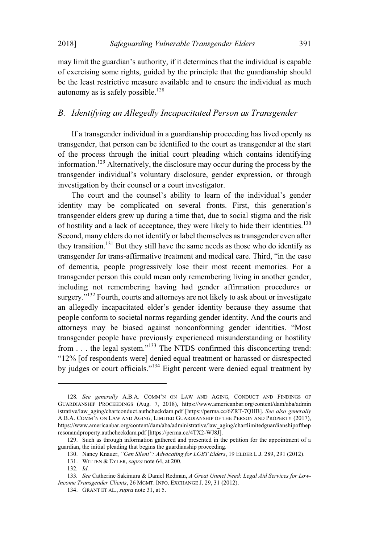.aw limit the guardian's authority, if it determines that the individual is capable of exercising some rights, guided by the principle that the guardianship should be the least restrictive measure available and to ensure the individual as much autonomy as is safely possible.<sup>128</sup>

## *B. Identifying an Allegedly Incapacitated Person as Transgender*

If a transgender individual in a guardianship proceeding has lived openly as transgender, that person can be identified to the court as transgender at the start of the process through the initial court pleading which contains identifying information.<sup>129</sup> Alternatively, the disclosure may occur during the process by the transgender individual's voluntary disclosure, gender expression, or through investigation by their counsel or a court investigator.

The court and the counsel's ability to learn of the individual's gender identity may be complicated on several fronts. First, this generation's transgender elders grew up during a time that, due to social stigma and the risk of hostility and a lack of acceptance, they were likely to hide their identities.<sup>130</sup> Second, many elders do not identify or label themselves astransgender even after they transition.<sup>131</sup> But they still have the same needs as those who do identify as transgender for trans-affirmative treatment and medical care. Third, "in the case of dementia, people progressively lose their most recent memories. For a transgender person this could mean only remembering living in another gender, including not remembering having had gender affirmation procedures or surgery."<sup>132</sup> Fourth, courts and attorneys are not likely to ask about or investigate an allegedly incapacitated elder's gender identity because they assume that people conform to societal norms regarding gender identity. And the courts and attorneys may be biased against nonconforming gender identities. "Most transgender people have previously experienced misunderstanding or hostility from . . . the legal system."<sup>133</sup> The NTDS confirmed this disconcerting trend: " $12\%$  [of respondents were] denied equal treatment or harassed or disrespected by judges or court officials."<sup>134</sup> Eight percent were denied equal treatment by

<sup>128</sup>*. See generally* A.B.A. COMM'N ON LAW AND AGING, CONDUCT AND FINDINGS OF GUARDIANSHIP PROCEEDINGS (Aug. 7, 2018), https://www.americanbar.org/content/dam/aba/admin istrative/law\_aging/chartconduct.authcheckdam.pdf [https://perma.cc/6ZRT-7QHB]. *See also generally* A.B.A. COMM'N ON LAW AND AGING, LIMITED GUARDIANSHIP OF THE PERSON AND PROPERTY (2017), https://www.americanbar.org/content/dam/aba/administrative/law\_aging/chartlimitedguardianshipofthep resonandproperty.authcheckdam.pdf [https://perma.cc/4TX2-WJ8J].

<sup>129.</sup> Such as through information gathered and presented in the petition for the appointment of a guardian, the initial pleading that begins the guardianship proceeding.

<sup>130.</sup> Nancy Knauer, *"(en Silent": Advocating for L(BT \*lders*, 19 ELDER L.J. 289, 291 (2012).

<sup>131.</sup> WITTEN & EYLER, *supra* note 64, at 200.

<sup>132</sup>*. Id*.

<sup>133</sup>*. See* Catherine Sakimura & Daniel Redman, *A Great Unmet Need: Legal Aid Services for Low-Income Transgender Clients*, 26 MGMT. INFO. EXCHANGE J. 29, 31 (2012).

<sup>134.</sup> GRANT ET AL., *supra* note 31, at 5.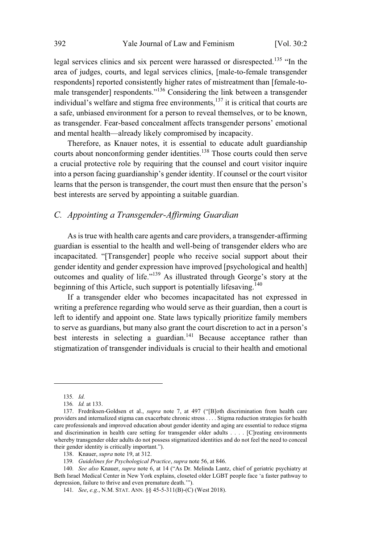legal services clinics and six percent were harassed or disrespected.<sup>135</sup> "In the area of judges, courts, and legal services clinics, [male-to-female transgender respondents] reported consistently higher rates of mistreatment than [female-to male transgender] respondents."<sup>136</sup> Considering the link between a transgender individual's welfare and stigma free environments, $137$  it is critical that courts are a safe, unbiased environment for a person to reveal themselves, or to be known, as transgender. Fear-based concealment affects transgender persons' emotional and mental health—already likely compromised by incapacity.

Therefore, as Knauer notes, it is essential to educate adult guardianship courts about nonconforming gender identities.<sup>138</sup> Those courts could then serve a crucial protective role by requiring that the counsel and court visitor inquire into a person facing guardianship's gender identity. If counsel or the court visitor learns that the person is transgender, the court must then ensure that the person's best interests are served by appointing a suitable guardian.

#### *C. Appointing a Transgender-Affirming Guardian*

As is true with health care agents and care providers, a transgender-affirming guardian is essential to the health and well-being of transgender elders who are incapacitated. "[Transgender] people who receive social support about their gender identity and gender expression have improved [psychological and health] outcomes and quality of life."<sup>139</sup> As illustrated through George's story at the beginning of this Article, such support is potentially lifesaving.<sup>140</sup>

If a transgender elder who becomes incapacitated has not expressed in writing a preference regarding who would serve as their guardian, then a court is left to identify and appoint one. State laws typically prioritize family members to serve as guardians, but many also grant the court discretion to act in a person's best interests in selecting a guardian. $141$  Because acceptance rather than stigmatization of transgender individuals is crucial to their health and emotional

<sup>135</sup>*. Id*.

<sup>136</sup>*. Id.* at 133.

<sup>137.</sup> Fredriksen-Goldsen et al., *supra* note 7, at 497 ("[B]oth discrimination from health care providers and internalized stigma can exacerbate chronic stress . . . . Stigma reduction strategies for health care professionals and improved education about gender identity and aging are essential to reduce stigma and discrimination in health care setting for transgender older adults . . . . [C]reating environments whereby transgender older adults do not possess stigmatized identities and do not feel the need to conceal their gender identity is critically important.").

<sup>138.</sup> Knauer, *supra* note 19, at 312.

<sup>139</sup>*. Guidelines for Psychological Practice*, *supra* note 56, at 846.

<sup>140</sup>*. See also* Knauer, *supra* note 6, at 14 ("As Dr. Melinda Lantz, chief of geriatric psychiatry at Beth Israel Medical Center in New York explains, closeted older LGBT people face 'a faster pathway to depression, failure to thrive and even premature death."").

<sup>141</sup>*. See*, *e.g.*, N.M. STAT. ANN. §§ 45-5-311(B)-(C) (West 2018).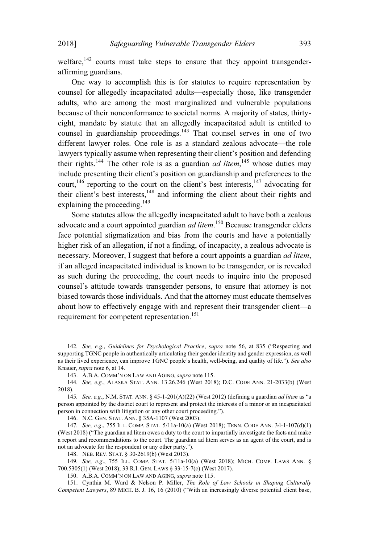welfare, $142$  courts must take steps to ensure that they appoint transgenderaffirming guardians.

One way to accomplish this is for statutes to require representation by counsel for allegedly incapacitated adults—especially those, like transgender adults, who are among the most marginalized and vulnerable populations because of their nonconformance to societal norms. A majority of states, thirtyeight, mandate by statute that an allegedly incapacitated adult is entitled to counsel in guardianship proceedings.<sup>143</sup> That counsel serves in one of two different lawyer roles. One role is as a standard zealous advocate—the role lawyers typically assume when representing their client's position and defending their rights.<sup>144</sup> The other role is as a guardian *ad litem*,<sup>145</sup> whose duties may include presenting their client's position on guardianship and preferences to the court,<sup>146</sup> reporting to the court on the client's best interests,<sup>147</sup> advocating for their client's best interests,<sup>148</sup> and informing the client about their rights and explaining the proceeding.<sup>149</sup>

Some statutes allow the allegedly incapacitated adult to have both a zealous advocate and a court appointed guardian *ad litem*. <sup>150</sup> Because transgender elders face potential stigmatization and bias from the courts and have a potentially higher risk of an allegation, if not a finding, of incapacity, a zealous advocate is necessary. Moreover, I suggest that before a court appoints a guardian *ad litem*, if an alleged incapacitated individual is known to be transgender, or is revealed as such during the proceeding, the court needs to inquire into the proposed counsel's attitude towards transgender persons, to ensure that attorney is not biased towards those individuals. And that the attorney must educate themselves about how to effectively engage with and represent their transgender client—a requirement for competent representation.<sup>151</sup>

<sup>142</sup>*. See, e.g., Guidelines for Psychological Practice, supra* note 56, at 835 ("Respecting and supporting TGNC people in authentically articulating their gender identity and gender expression, as well as their lived experience, can improve TGNC people's health, well-being, and quality of life."). *See also* Knauer, *supra* note 6, at 14.

<sup>143.</sup> A.B.A. COMM'N ON LAW AND AGING, *supra* note 115.

<sup>144</sup>*. See, e.g.*, ALASKA STAT. ANN. 13.26.246 (West 2018); D.C. CODE ANN. 21-2033(b) (West 2018).

<sup>145</sup>*. See, e.g.*, N.M. STAT. ANN. § 45-1-201(A)(22) (West 2012) (defining a guardian *ad litem* as Da person appointed by the district court to represent and protect the interests of a minor or an incapacitated person in connection with litigation or any other court proceeding.").

<sup>146.</sup> N.C. GEN. STAT. ANN. § 35A-1107 (West 2003).

<sup>147</sup>*. See, e.g*., 755 ILL. COMP. STAT. 5/11a-10(a) (West 2018); TENN. CODE ANN. 34-1-107(d)(1) (West  $2018$ ) ("The guardian ad litem owes a duty to the court to impartially investigate the facts and make a report and recommendations to the court. The guardian ad litem serves as an agent of the court, and is not an advocate for the respondent or any other party.").

<sup>148.</sup> NEB. REV. STAT. § 30-2619(b) (West 2013).

<sup>149</sup>*. See, e.g*., 755 ILL. COMP. STAT. 5/11a-10(a) (West 2018); MICH. COMP. LAWS ANN. § 700.5305(1) (West 2018); 33 R.I. GEN. LAWS § 33-15-7(c) (West 2017).

<sup>150.</sup> A.B.A. COMM'N ON LAW AND AGING, *supra* note 115.

<sup>151.</sup> Cynthia M. Ward & Nelson P. Miller, *The Role of Law Schools in Shaping Culturally Competent Lawyers*, 89 MICH. B. J. 16, 16 (2010) ("With an increasingly diverse potential client base,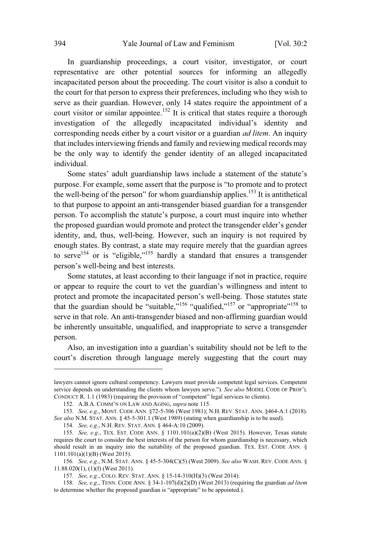In guardianship proceedings, a court visitor, investigator, or court representative are other potential sources for informing an allegedly incapacitated person about the proceeding. The court visitor is also a conduit to the court for that person to express their preferences, including who they wish to serve as their guardian. However, only 14 states require the appointment of a court visitor or similar appointee.<sup>152</sup> It is critical that states require a thorough investigation of the allegedly incapacitated individual's identity and corresponding needs either by a court visitor or a guardian *ad litem*. An inquiry that includes interviewing friends and family and reviewing medical records may be the only way to identify the gender identity of an alleged incapacitated individual.

Some states' adult guardianship laws include a statement of the statute's purpose. For example, some assert that the purpose is "to promote and to protect the well-being of the person" for whom guardianship applies.<sup>153</sup> It is antithetical to that purpose to appoint an anti-transgender biased guardian for a transgender person. To accomplish the statute's purpose, a court must inquire into whether the proposed guardian would promote and protect the transgender elder's gender identity, and, thus, well-being. However, such an inquiry is not required by enough states. By contrast, a state may require merely that the guardian agrees to serve<sup>154</sup> or is "eligible,"<sup>155</sup> hardly a standard that ensures a transgender person's well-being and best interests.

Some statutes, at least according to their language if not in practice, require or appear to require the court to vet the guardian's willingness and intent to protect and promote the incapacitated person's well-being. Those statutes state that the guardian should be "suitable,"<sup>156</sup> "qualified,"<sup>157</sup> or "appropriate"<sup>158</sup> to serve in that role. An anti-transgender biased and non-affirming guardian would be inherently unsuitable, unqualified, and inappropriate to serve a transgender person.

Also, an investigation into a guardian's suitability should not be left to the court's discretion through language merely suggesting that the court may

lawyers cannot ignore cultural competency. Lawyers must provide competent legal services. Competent service depends on understanding the clients whom lawyers serve."). See also MODEL CODE OF PROF'L CONDUCT R. 1.1 (1983) (requiring the provision of "competent" legal services to clients).

<sup>152.</sup> A.B.A. COMM'N ON LAW AND AGING, *supra* note 115.

<sup>153</sup>*. See, e.g.*, MONT. CODE ANN. §72-5-306 (West 1981); N.H. REV. STAT. ANN. §464-A:1 (2018). *See also* N.M. STAT. ANN. § 45-5-301.1 (West 1989) (stating when guardianship is to be used).

<sup>154</sup>*. See, e.g*., N.H. REV. STAT. ANN. § 464-A:10 (2009).

<sup>155</sup>*. See, e.g*., TEX. EST. CODE ANN. § 1101.101(a)(2)(B) (West 2015). However, Texas statute requires the court to consider the best interests of the person for whom guardianship is necessary, which should result in an inquiry into the suitability of the proposed guardian. TEX. EST. CODE ANN. § 1101.101(a)(1)(B) (West 2015).

<sup>156</sup>*. See, e.g*., N.M. STAT. ANN. § 45-5-304(C)(5) (West 2009). *See also* WASH. REV. CODE ANN. § 11.88.020(1), (1)(f) (West 2011).

<sup>157</sup>*. See, e.g*., COLO. REV. STAT. ANN. § 15-14-310(H)(3) (West 2014).

<sup>158</sup>*. See, e.g*., TENN. CODE ANN. § 34-1-107(d)(2)(D) (West 2013) (requiring the guardian *ad litem* to determine whether the proposed guardian is "appropriate" to be appointed.).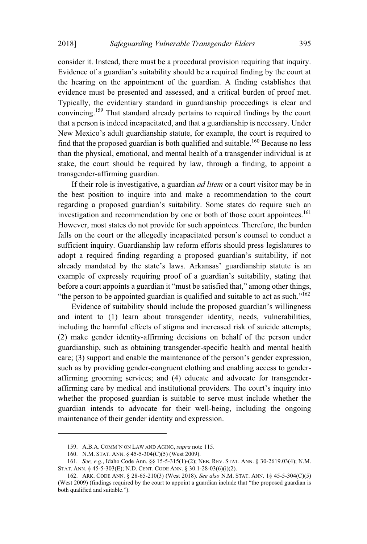consider it. Instead, there must be a procedural provision requiring that inquiry. Evidence of a guardian's suitability should be a required finding by the court at the hearing on the appointment of the guardian. A finding establishes that evidence must be presented and assessed, and a critical burden of proof met. Typically, the evidentiary standard in guardianship proceedings is clear and convincing.<sup>159</sup> That standard already pertains to required findings by the court that a person is indeed incapacitated, and that a guardianship is necessary. Under New Mexico's adult guardianship statute, for example, the court is required to find that the proposed guardian is both qualified and suitable.<sup>160</sup> Because no less than the physical, emotional, and mental health of a transgender individual is at stake, the court should be required by law, through a finding, to appoint a transgender-affirming guardian.

If their role is investigative, a guardian *ad litem* or a court visitor may be in the best position to inquire into and make a recommendation to the court regarding a proposed guardian's suitability. Some states do require such an investigation and recommendation by one or both of those court appointees.<sup>161</sup> However, most states do not provide for such appointees. Therefore, the burden falls on the court or the allegedly incapacitated person's counsel to conduct a sufficient inquiry. Guardianship law reform efforts should press legislatures to adopt a required finding regarding a proposed guardian's suitability, if not already mandated by the state's laws. Arkansas' guardianship statute is an example of expressly requiring proof of a guardian's suitability, stating that before a court appoints a guardian it "must be satisfied that," among other things, "the person to be appointed guardian is qualified and suitable to act as such." $162$ 

Evidence of suitability should include the proposed guardian's willingness and intent to (1) learn about transgender identity, needs, vulnerabilities, including the harmful effects of stigma and increased risk of suicide attempts; (2) make gender identity-affirming decisions on behalf of the person under guardianship, such as obtaining transgender-specific health and mental health care;  $(3)$  support and enable the maintenance of the person's gender expression, such as by providing gender-congruent clothing and enabling access to genderaffirming grooming services; and (4) educate and advocate for transgenderaffirming care by medical and institutional providers. The court's inquiry into whether the proposed guardian is suitable to serve must include whether the guardian intends to advocate for their well-being, including the ongoing maintenance of their gender identity and expression.

<sup>159.</sup> A.B.A. COMM'N ON LAW AND AGING, *supra* note 115.

<sup>160.</sup> N.M. STAT. ANN. § 45-5-304(C)(5) (West 2009).

<sup>161</sup>*. See, e.g*., Idaho Code Ann. §§ 15-5-315(1)-(2); NEB. REV. STAT. ANN. § 30-2619.03(4); N.M. STAT. ANN. § 45-5-303(E); N.D. CENT. CODE ANN. § 30.1-28-03(6)(i)(2).

<sup>162.</sup> ARK. CODE ANN. § 28-65-210(3) (West 2018). *See also* N.M. STAT. ANN. 1§ 45-5-304(C)(5) (West 2009) (findings required by the court to appoint a guardian include that "the proposed guardian is both qualified and suitable.").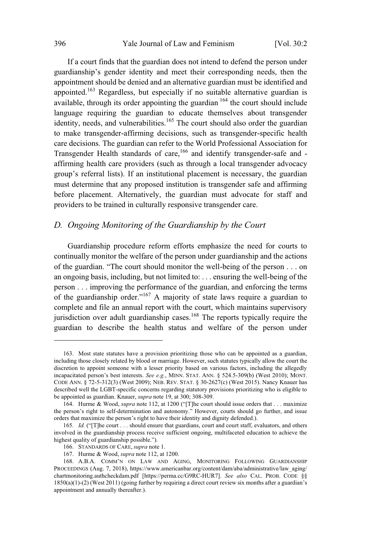If a court finds that the guardian does not intend to defend the person under guardianship's gender identity and meet their corresponding needs, then the appointment should be denied and an alternative guardian must be identified and appointed.<sup>163</sup> Regardless, but especially if no suitable alternative guardian is available, through its order appointing the guardian  $164$  the court should include language requiring the guardian to educate themselves about transgender identity, needs, and vulnerabilities.<sup>165</sup> The court should also order the guardian to make transgender-affirming decisions, such as transgender-specific health care decisions. The guardian can refer to the World Professional Association for Transgender Health standards of care,<sup>166</sup> and identify transgender-safe and affirming health care providers (such as through a local transgender advocacy group's referral lists). If an institutional placement is necessary, the guardian must determine that any proposed institution is transgender safe and affirming before placement. Alternatively, the guardian must advocate for staff and providers to be trained in culturally responsive transgender care.

## *D. Ongoing Monitoring of the Guardianship by the Court*

Guardianship procedure reform efforts emphasize the need for courts to continually monitor the welfare of the person under guardianship and the actions of the guardian. "The court should monitor the well-being of the person  $\dots$  on an ongoing basis, including, but not limited to: . . . ensuring the well-being of the person . . . improving the performance of the guardian, and enforcing the terms of the guardianship order."<sup>167</sup> A majority of state laws require a guardian to complete and file an annual report with the court, which maintains supervisory jurisdiction over adult guardianship cases.<sup>168</sup> The reports typically require the guardian to describe the health status and welfare of the person under

<sup>163.</sup> Most state statutes have a provision prioritizing those who can be appointed as a guardian, including those closely related by blood or marriage. However, such statutes typically allow the court the discretion to appoint someone with a lesser priority based on various factors, including the allegedly incapacitated person's best interests. *See e.g.*, MINN. STAT. ANN. § 524.5-309(b) (West 2010); MONT. CODE ANN. § 72-5-312(3) (West 2009); NEB. REV. STAT. § 30-2627(c) (West 2015). Nancy Knauer has described well the LGBT-specific concerns regarding statutory provisions prioritizing who is eligible to be appointed as guardian. Knauer, *supra* note 19, at 300; 308-309.

<sup>164.</sup> Hurme & Wood, *supra* note 112, at 1200 ("[T]he court should issue orders that . . . maximize the person's right to self-determination and autonomy." However, courts should go further, and issue orders that maximize the person's right to have their identity and dignity defended.).

<sup>165.</sup> *Id.* ("[T]he court . . . should ensure that guardians, court and court staff, evaluators, and others involved in the guardianship process receive sufficient ongoing, multifaceted education to achieve the highest quality of guardianship possible.").

<sup>166.</sup> STANDARDS OF CARE, *supra* note 1.

<sup>167.</sup> Hurme & Wood, *supra* note 112, at 1200.

<sup>168.</sup> A.B.A. COMM'N ON LAW AND AGING, MONITORING FOLLOWING GUARDIANSHIP PROCEEDINGS (Aug. 7, 2018), https://www.americanbar.org/content/dam/aba/administrative/law\_aging/ chartmonitoring.authcheckdam.pdf [https://perma.cc/G9RC-HUR7]. *See also* CAL. PROB. CODE §§ 1850(a)(1)-(2) (West 2011) (going further by requiring a direct court review six months after a guardian's appointment and annually thereafter.).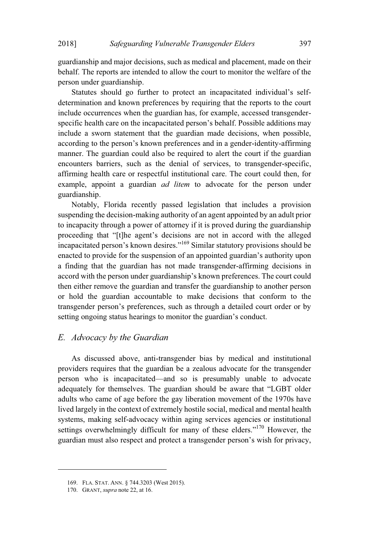guardianship and major decisions, such as medical and placement, made on their behalf. The reports are intended to allow the court to monitor the welfare of the person under guardianship.

Statutes should go further to protect an incapacitated individual's selfdetermination and known preferences by requiring that the reports to the court include occurrences when the guardian has, for example, accessed transgenderspecific health care on the incapacitated person's behalf. Possible additions may include a sworn statement that the guardian made decisions, when possible, according to the person's known preferences and in a gender-identity-affirming manner. The guardian could also be required to alert the court if the guardian encounters barriers, such as the denial of services, to transgender-specific, affirming health care or respectful institutional care. The court could then, for example, appoint a guardian *ad litem* to advocate for the person under guardianship.

Notably, Florida recently passed legislation that includes a provision suspending the decision-making authority of an agent appointed by an adult prior to incapacity through a power of attorney if it is proved during the guardianship proceeding that "[t]he agent's decisions are not in accord with the alleged incapacitated person's known desires."<sup>169</sup> Similar statutory provisions should be enacted to provide for the suspension of an appointed guardian's authority upon a finding that the guardian has not made transgender-affirming decisions in accord with the person under guardianship's known preferences. The court could then either remove the guardian and transfer the guardianship to another person or hold the guardian accountable to make decisions that conform to the transgender person's preferences, such as through a detailed court order or by setting ongoing status hearings to monitor the guardian's conduct.

#### *E. Advocacy by the Guardian*

As discussed above, anti-transgender bias by medical and institutional providers requires that the guardian be a zealous advocate for the transgender person who is incapacitated—and so is presumably unable to advocate adequately for themselves. The guardian should be aware that "LGBT older adults who came of age before the gay liberation movement of the 1970s have lived largely in the context of extremely hostile social, medical and mental health systems, making self-advocacy within aging services agencies or institutional settings overwhelmingly difficult for many of these elders."<sup>170</sup> However, the guardian must also respect and protect a transgender person's wish for privacy,

<sup>169.</sup> FLA. STAT. ANN. § 744.3203 (West 2015).

<sup>170.</sup> GRANT, *supra* note 22, at 16.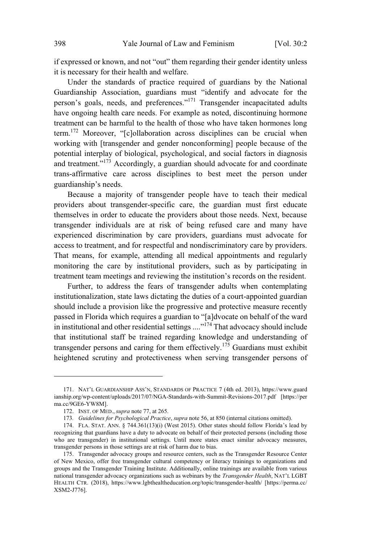if expressed or known, and not "out" them regarding their gender identity unless it is necessary for their health and welfare.

Under the standards of practice required of guardians by the National Guardianship Association, guardians must "identify and advocate for the person's goals, needs, and preferences."<sup>171</sup> Transgender incapacitated adults have ongoing health care needs. For example as noted, discontinuing hormone treatment can be harmful to the health of those who have taken hormones long term.<sup>172</sup> Moreover, "[c]ollaboration across disciplines can be crucial when working with [transgender and gender nonconforming] people because of the potential interplay of biological, psychological, and social factors in diagnosis and treatment."<sup>173</sup> Accordingly, a guardian should advocate for and coordinate trans-affirmative care across disciplines to best meet the person under guardianship's needs.

Because a majority of transgender people have to teach their medical providers about transgender-specific care, the guardian must first educate themselves in order to educate the providers about those needs. Next, because transgender individuals are at risk of being refused care and many have experienced discrimination by care providers, guardians must advocate for access to treatment, and for respectful and nondiscriminatory care by providers. That means, for example, attending all medical appointments and regularly monitoring the care by institutional providers, such as by participating in treatment team meetings and reviewing the institution's records on the resident.

Further, to address the fears of transgender adults when contemplating institutionalization, state laws dictating the duties of a court-appointed guardian should include a provision like the progressive and protective measure recently passed in Florida which requires a guardian to "[a]dvocate on behalf of the ward in institutional and other residential settings  $\ldots$ <sup>174</sup> That advocacy should include that institutional staff be trained regarding knowledge and understanding of transgender persons and caring for them effectively.<sup>175</sup> Guardians must exhibit heightened scrutiny and protectiveness when serving transgender persons of

<sup>171.</sup> NAT'L GUARDIANSHIP ASS'N, STANDARDS OF PRACTICE 7 (4th ed. 2013), https://www.guard ianship.org/wp-content/uploads/2017/07/NGA-Standards-with-Summit-Revisions-2017.pdf [https://per ma.cc/9GE6-YW8M].

<sup>172.</sup> INST. OF MED., supra note 77, at 265.

<sup>173.</sup> Guidelines for Psychological Practice, supra note 56, at 850 (internal citations omitted).

<sup>174.</sup> FLA. STAT. ANN. § 744.361(13)(i) (West 2015). Other states should follow Florida's lead by recognizing that guardians have a duty to advocate on behalf of their protected persons (including those who are transgender) in institutional settings. Until more states enact similar advocacy measures, transgender persons in those settings are at risk of harm due to bias.

<sup>175.</sup> Transgender advocacy groups and resource centers, such as the Transgender Resource Center of New Mexico, offer free transgender cultural competency or literacy trainings to organizations and groups and the Transgender Training Institute. Additionally, online trainings are available from various national transgender advocacy organizations such as webinars by the *Transgender Health*, NAT'L LGBT HEALTH CTR. (2018), https://www.lgbthealtheducation.org/topic/transgender-health/ [https://perma.cc/ XSM2-J776].